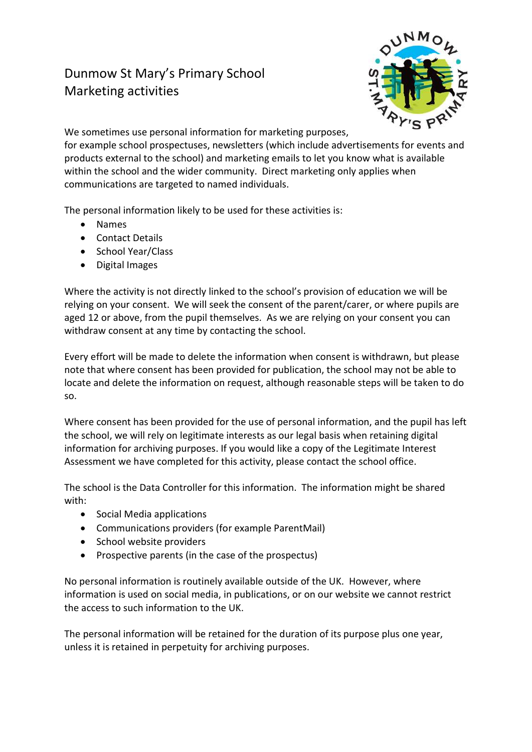## Dunmow St Mary's Primary School Marketing activities



We sometimes use personal information for marketing purposes, for example school prospectuses, newsletters (which include advertisements for events and products external to the school) and marketing emails to let you know what is available within the school and the wider community. Direct marketing only applies when communications are targeted to named individuals.

The personal information likely to be used for these activities is:

- Names
- Contact Details
- School Year/Class
- Digital Images

Where the activity is not directly linked to the school's provision of education we will be relying on your consent. We will seek the consent of the parent/carer, or where pupils are aged 12 or above, from the pupil themselves. As we are relying on your consent you can withdraw consent at any time by contacting the school.

Every effort will be made to delete the information when consent is withdrawn, but please note that where consent has been provided for publication, the school may not be able to locate and delete the information on request, although reasonable steps will be taken to do so.

Where consent has been provided for the use of personal information, and the pupil has left the school, we will rely on legitimate interests as our legal basis when retaining digital information for archiving purposes. If you would like a copy of the Legitimate Interest Assessment we have completed for this activity, please contact the school office.

The school is the Data Controller for this information. The information might be shared with:

- Social Media applications
- Communications providers (for example ParentMail)
- School website providers
- Prospective parents (in the case of the prospectus)

No personal information is routinely available outside of the UK. However, where information is used on social media, in publications, or on our website we cannot restrict the access to such information to the UK.

The personal information will be retained for the duration of its purpose plus one year, unless it is retained in perpetuity for archiving purposes.